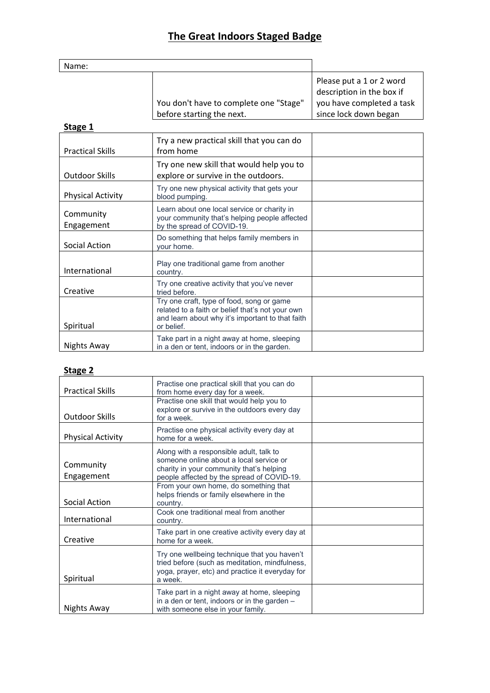# **The Great Indoors Staged Badge**

| Name: |                                                                     |                                                                                                             |
|-------|---------------------------------------------------------------------|-------------------------------------------------------------------------------------------------------------|
|       | You don't have to complete one "Stage"<br>before starting the next. | Please put a 1 or 2 word<br>description in the box if<br>you have completed a task<br>since lock down began |

#### **Stage 1**

| <b>Practical Skills</b>  | Try a new practical skill that you can do<br>from home                                                                                                          |  |
|--------------------------|-----------------------------------------------------------------------------------------------------------------------------------------------------------------|--|
| Outdoor Skills           | Try one new skill that would help you to<br>explore or survive in the outdoors.                                                                                 |  |
| <b>Physical Activity</b> | Try one new physical activity that gets your<br>blood pumping.                                                                                                  |  |
| Community<br>Engagement  | Learn about one local service or charity in<br>your community that's helping people affected<br>by the spread of COVID-19.                                      |  |
| Social Action            | Do something that helps family members in<br>vour home.                                                                                                         |  |
| International            | Play one traditional game from another<br>country.                                                                                                              |  |
| Creative                 | Try one creative activity that you've never<br>tried before.                                                                                                    |  |
| Spiritual                | Try one craft, type of food, song or game<br>related to a faith or belief that's not your own<br>and learn about why it's important to that faith<br>or belief. |  |
| Nights Away              | Take part in a night away at home, sleeping<br>in a den or tent, indoors or in the garden.                                                                      |  |

### **Stage 2**

| <b>Practical Skills</b>  | Practise one practical skill that you can do<br>from home every day for a week.                                                                                              |  |
|--------------------------|------------------------------------------------------------------------------------------------------------------------------------------------------------------------------|--|
| <b>Outdoor Skills</b>    | Practise one skill that would help you to<br>explore or survive in the outdoors every day<br>for a week.                                                                     |  |
| <b>Physical Activity</b> | Practise one physical activity every day at<br>home for a week.                                                                                                              |  |
| Community<br>Engagement  | Along with a responsible adult, talk to<br>someone online about a local service or<br>charity in your community that's helping<br>people affected by the spread of COVID-19. |  |
| Social Action            | From your own home, do something that<br>helps friends or family elsewhere in the<br>country.                                                                                |  |
| International            | Cook one traditional meal from another<br>country.                                                                                                                           |  |
| Creative                 | Take part in one creative activity every day at<br>home for a week.                                                                                                          |  |
| Spiritual                | Try one wellbeing technique that you haven't<br>tried before (such as meditation, mindfulness,<br>yoga, prayer, etc) and practice it everyday for<br>a week.                 |  |
| Nights Away              | Take part in a night away at home, sleeping<br>in a den or tent, indoors or in the garden -<br>with someone else in your family.                                             |  |